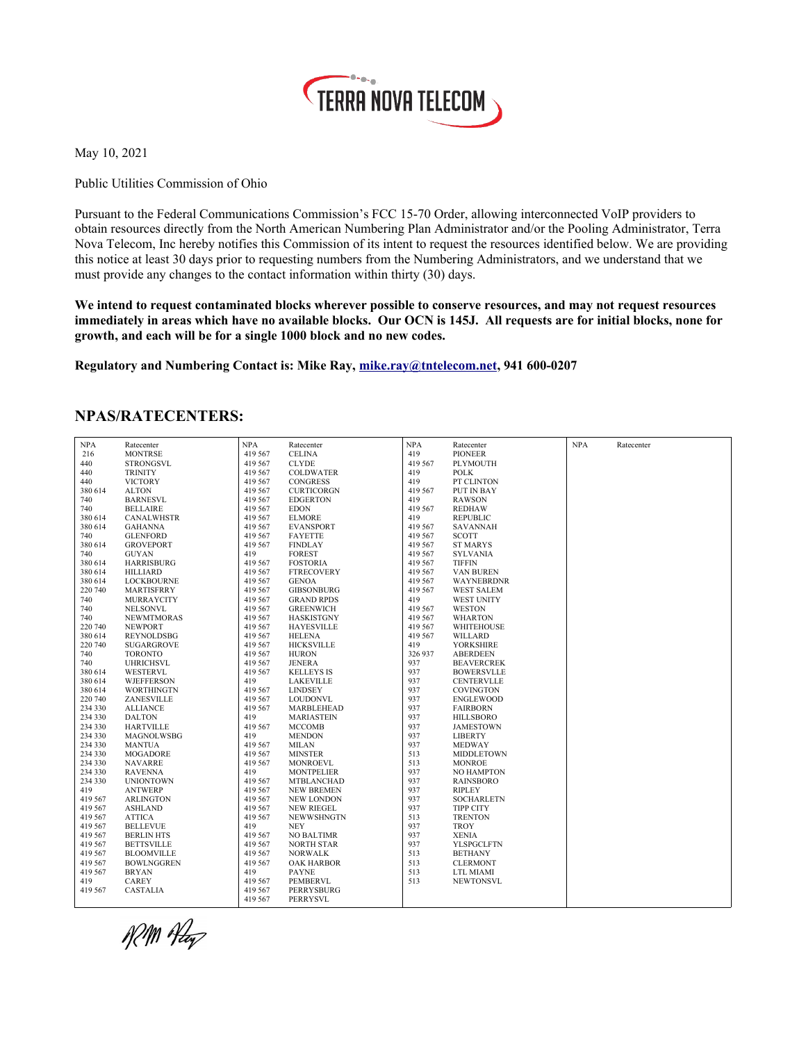

May 10, 2021

Public Utilities Commission of Ohio

Pursuant to the Federal Communications Commission's FCC 15-70 Order, allowing interconnected VoIP providers to obtain resources directly from the North American Numbering Plan Administrator and/or the Pooling Administrator, Terra Nova Telecom, Inc hereby notifies this Commission of its intent to request the resources identified below. We are providing this notice at least 30 days prior to requesting numbers from the Numbering Administrators, and we understand that we must provide any changes to the contact information within thirty (30) days.

**We intend to request contaminated blocks wherever possible to conserve resources, and may not request resources immediately in areas which have no available blocks. Our OCN is 145J. All requests are for initial blocks, none for growth, and each will be for a single 1000 block and no new codes.**

**Regulatory and Numbering Contact is: Mike Ray, [mike.ray@tntelecom.net,](mailto:mike.ray@tntelecom.net) 941 600-0207**

## **NPAS/RATECENTERS:**

| <b>NPA</b> | Ratecenter        | <b>NPA</b> | Ratecenter        | <b>NPA</b> | Ratecenter        | <b>NPA</b> | Ratecenter |
|------------|-------------------|------------|-------------------|------------|-------------------|------------|------------|
| 216        | <b>MONTRSE</b>    | 419 567    | <b>CELINA</b>     | 419        | <b>PIONEER</b>    |            |            |
| 440        | <b>STRONGSVL</b>  | 419 567    | <b>CLYDE</b>      | 419 567    | <b>PLYMOUTH</b>   |            |            |
| 440        | <b>TRINITY</b>    | 419 567    | <b>COLDWATER</b>  | 419        | <b>POLK</b>       |            |            |
| 440        | <b>VICTORY</b>    | 419 567    | <b>CONGRESS</b>   | 419        | PT CLINTON        |            |            |
| 380 614    | <b>ALTON</b>      | 419 567    | <b>CURTICORGN</b> | 419 567    | PUT IN BAY        |            |            |
| 740        | <b>BARNESVL</b>   | 419 567    | <b>EDGERTON</b>   | 419        | <b>RAWSON</b>     |            |            |
| 740        | <b>BELLAIRE</b>   | 419 567    | <b>EDON</b>       | 419 567    | <b>REDHAW</b>     |            |            |
| 380 614    | CANALWHSTR        | 419 567    | <b>ELMORE</b>     | 419        | <b>REPUBLIC</b>   |            |            |
| 380 614    | <b>GAHANNA</b>    | 419 567    | <b>EVANSPORT</b>  | 419 567    | <b>SAVANNAH</b>   |            |            |
| 740        | <b>GLENFORD</b>   | 419 567    | <b>FAYETTE</b>    | 419 567    | <b>SCOTT</b>      |            |            |
| 380 614    | <b>GROVEPORT</b>  | 419 567    | <b>FINDLAY</b>    | 419 567    | <b>ST MARYS</b>   |            |            |
| 740        | <b>GUYAN</b>      | 419        | <b>FOREST</b>     | 419 567    | <b>SYLVANIA</b>   |            |            |
| 380 614    | <b>HARRISBURG</b> | 419 567    | <b>FOSTORIA</b>   | 419 567    | <b>TIFFIN</b>     |            |            |
|            |                   |            |                   |            |                   |            |            |
| 380 614    | <b>HILLIARD</b>   | 419 567    | <b>FTRECOVERY</b> | 419 567    | <b>VAN BUREN</b>  |            |            |
| 380 614    | <b>LOCKBOURNE</b> | 419 567    | <b>GENOA</b>      | 419 567    | <b>WAYNEBRDNR</b> |            |            |
| 220 740    | <b>MARTISFRRY</b> | 419 567    | <b>GIBSONBURG</b> | 419 567    | <b>WEST SALEM</b> |            |            |
| 740        | MURRAYCITY        | 419 567    | <b>GRAND RPDS</b> | 419        | WEST UNITY        |            |            |
| 740        | <b>NELSONVL</b>   | 419 567    | <b>GREENWICH</b>  | 419 567    | <b>WESTON</b>     |            |            |
| 740        | <b>NEWMTMORAS</b> | 419 567    | <b>HASKISTGNY</b> | 419 567    | <b>WHARTON</b>    |            |            |
| 220 740    | <b>NEWPORT</b>    | 419 567    | <b>HAYESVILLE</b> | 419 567    | WHITEHOUSE        |            |            |
| 380 614    | <b>REYNOLDSBG</b> | 419 567    | <b>HELENA</b>     | 419 567    | WILLARD           |            |            |
| 220 740    | <b>SUGARGROVE</b> | 419 567    | <b>HICKSVILLE</b> | 419        | <b>YORKSHIRE</b>  |            |            |
| 740        | <b>TORONTO</b>    | 419 567    | <b>HURON</b>      | 326 937    | <b>ABERDEEN</b>   |            |            |
| 740        | <b>UHRICHSVL</b>  | 419 567    | <b>JENERA</b>     | 937        | <b>BEAVERCREK</b> |            |            |
| 380 614    | WESTERVL          | 419 567    | <b>KELLEYS IS</b> | 937        | <b>BOWERSVLLE</b> |            |            |
| 380 614    | <b>WJEFFERSON</b> | 419        | LAKEVILLE         | 937        | <b>CENTERVLLE</b> |            |            |
| 380 614    | <b>WORTHINGTN</b> | 419 567    | <b>LINDSEY</b>    | 937        | COVINGTON         |            |            |
| 220 740    | ZANESVILLE        | 419 567    | <b>LOUDONVL</b>   | 937        | <b>ENGLEWOOD</b>  |            |            |
| 234 330    | <b>ALLIANCE</b>   | 419 567    | MARBLEHEAD        | 937        | <b>FAIRBORN</b>   |            |            |
|            |                   | 419        | <b>MARIASTEIN</b> | 937        |                   |            |            |
| 234 330    | <b>DALTON</b>     |            |                   |            | <b>HILLSBORO</b>  |            |            |
| 234 330    | <b>HARTVILLE</b>  | 419 567    | <b>MCCOMB</b>     | 937        | <b>JAMESTOWN</b>  |            |            |
| 234 330    | <b>MAGNOLWSBG</b> | 419        | <b>MENDON</b>     | 937        | <b>LIBERTY</b>    |            |            |
| 234 330    | <b>MANTUA</b>     | 419 567    | <b>MILAN</b>      | 937        | <b>MEDWAY</b>     |            |            |
| 234 330    | MOGADORE          | 419 567    | <b>MINSTER</b>    | 513        | <b>MIDDLETOWN</b> |            |            |
| 234 330    | <b>NAVARRE</b>    | 419 567    | <b>MONROEVL</b>   | 513        | <b>MONROE</b>     |            |            |
| 234 330    | <b>RAVENNA</b>    | 419        | <b>MONTPELIER</b> | 937        | <b>NO HAMPTON</b> |            |            |
| 234 330    | <b>UNIONTOWN</b>  | 419 567    | MTBLANCHAD        | 937        | <b>RAINSBORO</b>  |            |            |
| 419        | <b>ANTWERP</b>    | 419 567    | <b>NEW BREMEN</b> | 937        | <b>RIPLEY</b>     |            |            |
| 419 567    | <b>ARLINGTON</b>  | 419 567    | NEW LONDON        | 937        | <b>SOCHARLETN</b> |            |            |
| 419 567    | <b>ASHLAND</b>    | 419 567    | <b>NEW RIEGEL</b> | 937        | <b>TIPP CITY</b>  |            |            |
| 419 567    | <b>ATTICA</b>     | 419 567    | <b>NEWWSHNGTN</b> | 513        | <b>TRENTON</b>    |            |            |
| 419 567    | <b>BELLEVUE</b>   | 419        | NEY               | 937        | <b>TROY</b>       |            |            |
| 419 567    | <b>BERLIN HTS</b> | 419 567    | <b>NO BALTIMR</b> | 937        | <b>XENIA</b>      |            |            |
| 419 567    | <b>BETTSVILLE</b> | 419 567    | <b>NORTH STAR</b> | 937        | YLSPGCLFTN        |            |            |
| 419 567    | <b>BLOOMVILLE</b> | 419 567    | <b>NORWALK</b>    | 513        | <b>BETHANY</b>    |            |            |
| 419 567    | <b>BOWLNGGREN</b> | 419 567    | <b>OAK HARBOR</b> | 513        | <b>CLERMONT</b>   |            |            |
| 419 567    |                   | 419        |                   | 513        | LTL MIAMI         |            |            |
|            | <b>BRYAN</b>      |            | <b>PAYNE</b>      |            |                   |            |            |
| 419        | <b>CAREY</b>      | 419 567    | PEMBERVL          | 513        | <b>NEWTONSVL</b>  |            |            |
| 419 567    | CASTALIA          | 419 567    | <b>PERRYSBURG</b> |            |                   |            |            |
|            |                   | 419 567    | <b>PERRYSVL</b>   |            |                   |            |            |

N PM Hay